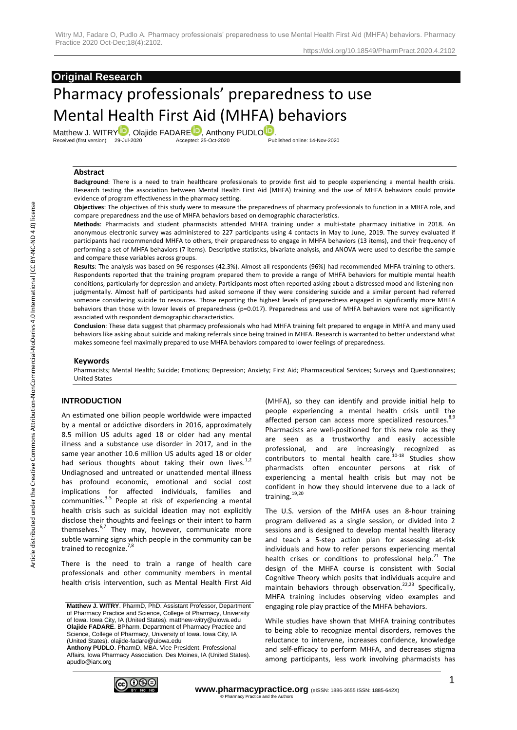# **Original Research**

# Pharmacy professionals' preparedness to use Mental Health First Aid (MHFA) behaviors

Matthew J. WITR[Y](https://orcid.org/0000-0001-8381-7224) , Olajide FADAR[E](https://orcid.org/0000-0002-0087-5822) , Anthony PUDL[O](https://orcid.org/0000-0003-4028-3773) .<br>Received (first version): 29-Jul-2020 Accepted: 25-Oct-2020 Published online: 14-Nov-2020

#### **Abstract**

**Background**: There is a need to train healthcare professionals to provide first aid to people experiencing a mental health crisis. Research testing the association between Mental Health First Aid (MHFA) training and the use of MHFA behaviors could provide evidence of program effectiveness in the pharmacy setting.

**Objectives**: The objectives of this study were to measure the preparedness of pharmacy professionals to function in a MHFA role, and compare preparedness and the use of MHFA behaviors based on demographic characteristics.

**Methods**: Pharmacists and student pharmacists attended MHFA training under a multi-state pharmacy initiative in 2018. An anonymous electronic survey was administered to 227 participants using 4 contacts in May to June, 2019. The survey evaluated if participants had recommended MHFA to others, their preparedness to engage in MHFA behaviors (13 items), and their frequency of performing a set of MHFA behaviors (7 items). Descriptive statistics, bivariate analysis, and ANOVA were used to describe the sample and compare these variables across groups.

**Results**: The analysis was based on 96 responses (42.3%). Almost all respondents (96%) had recommended MHFA training to others. Respondents reported that the training program prepared them to provide a range of MHFA behaviors for multiple mental health conditions, particularly for depression and anxiety. Participants most often reported asking about a distressed mood and listening nonjudgmentally. Almost half of participants had asked someone if they were considering suicide and a similar percent had referred someone considering suicide to resources. Those reporting the highest levels of preparedness engaged in significantly more MHFA behaviors than those with lower levels of preparedness (p=0.017). Preparedness and use of MHFA behaviors were not significantly associated with respondent demographic characteristics.

**Conclusion**: These data suggest that pharmacy professionals who had MHFA training felt prepared to engage in MHFA and many used behaviors like asking about suicide and making referrals since being trained in MHFA. Research is warranted to better understand what makes someone feel maximally prepared to use MHFA behaviors compared to lower feelings of preparedness.

#### **Keywords**

Pharmacists; Mental Health; Suicide; Emotions; Depression; Anxiety; First Aid; Pharmaceutical Services; Surveys and Questionnaires; United States

#### **INTRODUCTION**

An estimated one billion people worldwide were impacted by a mental or addictive disorders in 2016, approximately 8.5 million US adults aged 18 or older had any mental illness and a substance use disorder in 2017, and in the same year another 10.6 million US adults aged 18 or older had serious thoughts about taking their own lives. $1,2$ Undiagnosed and untreated or unattended mental illness has profound economic, emotional and social cost implications for affected individuals, families and communities.<sup>3-5</sup> People at risk of experiencing a mental health crisis such as suicidal ideation may not explicitly disclose their thoughts and feelings or their intent to harm themselves.<sup>6,7</sup> They may, however, communicate more subtle warning signs which people in the community can be trained to recognize.<sup>7,8</sup>

There is the need to train a range of health care professionals and other community members in mental health crisis intervention, such as Mental Health First Aid

**Anthony PUDLO**. PharmD, MBA. Vice President. Professional Affairs, Iowa Pharmacy Association. Des Moines, IA (United States). apudlo@iarx.org



(MHFA), so they can identify and provide initial help to people experiencing a mental health crisis until the affected person can access more specialized resources.<sup>8,9</sup> Pharmacists are well-positioned for this new role as they are seen as a trustworthy and easily accessible professional, and are increasingly recognized as contributors to mental health care.<sup>10-18</sup> Studies show pharmacists often encounter persons at risk of experiencing a mental health crisis but may not be confident in how they should intervene due to a lack of training.<sup>19,20</sup>

The U.S. version of the MHFA uses an 8-hour training program delivered as a single session, or divided into 2 sessions and is designed to develop mental health literacy and teach a 5-step action plan for assessing at-risk individuals and how to refer persons experiencing mental health crises or conditions to professional help. $21$  The design of the MHFA course is consistent with Social Cognitive Theory which posits that individuals acquire and maintain behaviors through observation.<sup>22,23</sup> Specifically, MHFA training includes observing video examples and engaging role play practice of the MHFA behaviors.

While studies have shown that MHFA training contributes to being able to recognize mental disorders, removes the reluctance to intervene, increases confidence, knowledge and self-efficacy to perform MHFA, and decreases stigma among participants, less work involving pharmacists has

**Matthew J. WITRY**. PharmD, PhD. Assistant Professor, Department of Pharmacy Practice and Science, College of Pharmacy, University of Iowa. Iowa City, IA (United States). matthew-witry@uiowa.edu **Olajide FADARE**. BPharm. Department of Pharmacy Practice and Science, College of Pharmacy, University of Iowa. Iowa City, IA (United States). olajide-fadare@uiowa.edu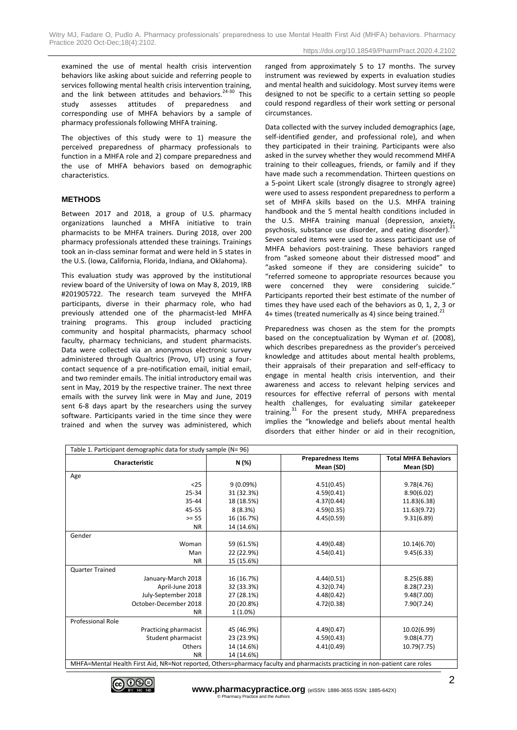examined the use of mental health crisis intervention behaviors like asking about suicide and referring people to services following mental health crisis intervention training, and the link between attitudes and behaviors. $24-30$  This study assesses attitudes of preparedness and corresponding use of MHFA behaviors by a sample of pharmacy professionals following MHFA training.

The objectives of this study were to 1) measure the perceived preparedness of pharmacy professionals to function in a MHFA role and 2) compare preparedness and the use of MHFA behaviors based on demographic characteristics.

#### **METHODS**

Between 2017 and 2018, a group of U.S. pharmacy organizations launched a MHFA initiative to train pharmacists to be MHFA trainers. During 2018, over 200 pharmacy professionals attended these trainings. Trainings took an in-class seminar format and were held in 5 states in the U.S. (Iowa, California, Florida, Indiana, and Oklahoma).

This evaluation study was approved by the institutional review board of the University of Iowa on May 8, 2019, IRB #201905722. The research team surveyed the MHFA participants, diverse in their pharmacy role, who had previously attended one of the pharmacist-led MHFA training programs. This group included practicing community and hospital pharmacists, pharmacy school faculty, pharmacy technicians, and student pharmacists. Data were collected via an anonymous electronic survey administered through Qualtrics (Provo, UT) using a fourcontact sequence of a pre-notification email, initial email, and two reminder emails. The initial introductory email was sent in May, 2019 by the respective trainer. The next three emails with the survey link were in May and June, 2019 sent 6-8 days apart by the researchers using the survey software. Participants varied in the time since they were trained and when the survey was administered, which ranged from approximately 5 to 17 months. The survey instrument was reviewed by experts in evaluation studies and mental health and suicidology. Most survey items were designed to not be specific to a certain setting so people could respond regardless of their work setting or personal circumstances.

Data collected with the survey included demographics (age, self-identified gender, and professional role), and when they participated in their training. Participants were also asked in the survey whether they would recommend MHFA training to their colleagues, friends, or family and if they have made such a recommendation. Thirteen questions on a 5-point Likert scale (strongly disagree to strongly agree) were used to assess respondent preparedness to perform a set of MHFA skills based on the U.S. MHFA training handbook and the 5 mental health conditions included in the U.S. MHFA training manual (depression, anxiety, psychosis, substance use disorder, and eating disorder). Seven scaled items were used to assess participant use of MHFA behaviors post-training. These behaviors ranged from "asked someone about their distressed mood" and "asked someone if they are considering suicide" to "referred someone to appropriate resources because you were concerned they were considering suicide." Participants reported their best estimate of the number of times they have used each of the behaviors as 0, 1, 2, 3 or 4+ times (treated numerically as 4) since being trained. $^{21}$ 

Preparedness was chosen as the stem for the prompts based on the conceptualization by Wyman *et al*. (2008), which describes preparedness as the provider's perceived knowledge and attitudes about mental health problems, their appraisals of their preparation and self-efficacy to engage in mental health crisis intervention, and their awareness and access to relevant helping services and resources for effective referral of persons with mental health challenges, for evaluating similar gatekeeper training.<sup>31</sup> For the present study, MHFA preparedness implies the "knowledge and beliefs about mental health disorders that either hinder or aid in their recognition,

| Table 1. Participant demographic data for study sample (N= 96)                                                              |            |                           |                                          |  |  |  |  |  |  |
|-----------------------------------------------------------------------------------------------------------------------------|------------|---------------------------|------------------------------------------|--|--|--|--|--|--|
| Characteristic                                                                                                              | N (%)      | <b>Preparedness Items</b> | <b>Total MHFA Behaviors</b><br>Mean (SD) |  |  |  |  |  |  |
|                                                                                                                             |            | Mean (SD)                 |                                          |  |  |  |  |  |  |
| Age                                                                                                                         |            |                           |                                          |  |  |  |  |  |  |
| $25$                                                                                                                        | 9(0.09%)   | 4.51(0.45)                | 9.78(4.76)                               |  |  |  |  |  |  |
| 25-34                                                                                                                       | 31 (32.3%) | 4.59(0.41)                | 8.90(6.02)                               |  |  |  |  |  |  |
| 35-44                                                                                                                       | 18 (18.5%) | 4.37(0.44)                | 11.83(6.38)                              |  |  |  |  |  |  |
| 45-55                                                                                                                       | 8(8.3%)    | 4.59(0.35)                | 11.63(9.72)                              |  |  |  |  |  |  |
| $>= 55$                                                                                                                     | 16 (16.7%) | 4.45(0.59)                | 9.31(6.89)                               |  |  |  |  |  |  |
| <b>NR</b>                                                                                                                   | 14 (14.6%) |                           |                                          |  |  |  |  |  |  |
| Gender                                                                                                                      |            |                           |                                          |  |  |  |  |  |  |
| Woman                                                                                                                       | 59 (61.5%) | 4.49(0.48)                | 10.14(6.70)                              |  |  |  |  |  |  |
| Man                                                                                                                         | 22 (22.9%) | 4.54(0.41)                | 9.45(6.33)                               |  |  |  |  |  |  |
| <b>NR</b>                                                                                                                   | 15 (15.6%) |                           |                                          |  |  |  |  |  |  |
| <b>Quarter Trained</b>                                                                                                      |            |                           |                                          |  |  |  |  |  |  |
| January-March 2018                                                                                                          | 16 (16.7%) | 4.44(0.51)                | 8.25(6.88)                               |  |  |  |  |  |  |
| April-June 2018                                                                                                             | 32 (33.3%) | 4.32(0.74)                | 8.28(7.23)                               |  |  |  |  |  |  |
| July-September 2018                                                                                                         | 27 (28.1%) | 4.48(0.42)                | 9.48(7.00)                               |  |  |  |  |  |  |
| October-December 2018                                                                                                       | 20 (20.8%) | 4.72(0.38)                | 7.90(7.24)                               |  |  |  |  |  |  |
| <b>NR</b>                                                                                                                   | $1(1.0\%)$ |                           |                                          |  |  |  |  |  |  |
| Professional Role                                                                                                           |            |                           |                                          |  |  |  |  |  |  |
| Practicing pharmacist                                                                                                       | 45 (46.9%) | 4.49(0.47)                | 10.02(6.99)                              |  |  |  |  |  |  |
| Student pharmacist                                                                                                          | 23 (23.9%) | 4.59(0.43)                | 9.08(4.77)                               |  |  |  |  |  |  |
| Others                                                                                                                      | 14 (14.6%) | 4.41(0.49)                | 10.79(7.75)                              |  |  |  |  |  |  |
| <b>NR</b>                                                                                                                   | 14 (14.6%) |                           |                                          |  |  |  |  |  |  |
| MHFA=Mental Health First Aid, NR=Not reported, Others=pharmacy faculty and pharmacists practicing in non-patient care roles |            |                           |                                          |  |  |  |  |  |  |

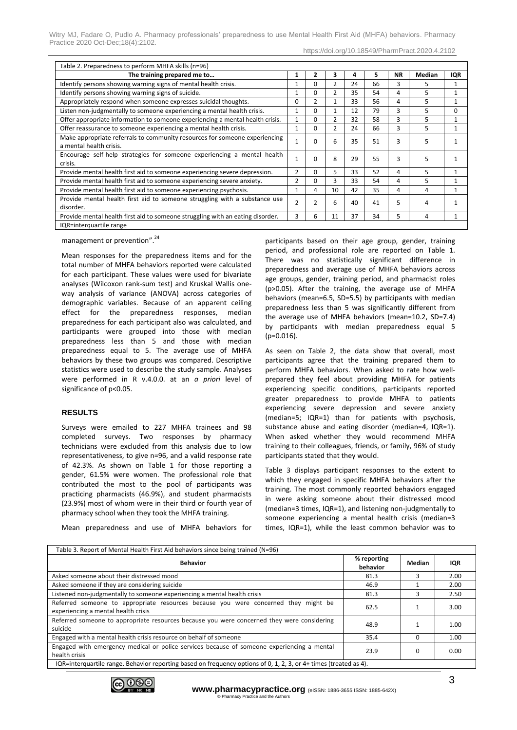| Witry MJ, Fadare O, Pudlo A. Pharmacy professionals' preparedness to use Mental Health First Aid (MHFA) behaviors. Pharmacy |  |  |  |  |  |
|-----------------------------------------------------------------------------------------------------------------------------|--|--|--|--|--|
| Practice 2020 Oct-Dec: 18(4): 2102.                                                                                         |  |  |  |  |  |

| https://doi.org/10.18549/PharmPract.2020.4.2102                                                       |   |              |    |    |    |           |        |            |
|-------------------------------------------------------------------------------------------------------|---|--------------|----|----|----|-----------|--------|------------|
| Table 2. Preparedness to perform MHFA skills (n=96)                                                   |   |              |    |    |    |           |        |            |
| The training prepared me to                                                                           | 1 | 2            | 3  | 4  | 5. | <b>NR</b> | Median | <b>IQR</b> |
| Identify persons showing warning signs of mental health crisis.                                       | 1 | <sup>0</sup> | 2  | 24 | 66 | 3         | 5      |            |
| Identify persons showing warning signs of suicide.                                                    | 1 | $\Omega$     | 2  | 35 | 54 | 4         | 5      |            |
| Appropriately respond when someone expresses suicidal thoughts.                                       | 0 |              |    | 33 | 56 | 4         | 5      |            |
| Listen non-judgmentally to someone experiencing a mental health crisis.                               | 1 | $\Omega$     |    | 12 | 79 | 3         | 5      | $\Omega$   |
| Offer appropriate information to someone experiencing a mental health crisis.                         | 1 | <sup>0</sup> | 2  | 32 | 58 | 3         | 5      |            |
| Offer reassurance to someone experiencing a mental health crisis.                                     | 1 | $\Omega$     | 2  | 24 | 66 | 3         | 5      |            |
| Make appropriate referrals to community resources for someone experiencing<br>a mental health crisis. |   | $\Omega$     | 6  | 35 | 51 | 3         | 5      |            |
| Encourage self-help strategies for someone experiencing a mental health<br>crisis.                    |   | $\Omega$     | 8  | 29 | 55 | 3         | 5      |            |
| Provide mental health first aid to someone experiencing severe depression.                            | 2 | <sup>0</sup> | 5  | 33 | 52 | 4         | 5      |            |
| Provide mental health first aid to someone experiencing severe anxiety.                               | 2 | $\Omega$     | 3  | 33 | 54 | 4         | 5      |            |
| Provide mental health first aid to someone experiencing psychosis.                                    | 1 | 4            | 10 | 42 | 35 | 4         | 4      |            |

disorder. 2. 2  $\left[2 \right]$  2  $\left[3 \right]$  4  $\left[4 \right]$  4  $\left[1 \right]$  4  $\left[1 \right]$  1 Provide mental health first aid to someone struggling with an eating disorder. 3 6 11 37 34 5 4 1

management or prevention".<sup>24</sup>

IQR=interquartile range

Mean responses for the preparedness items and for the total number of MHFA behaviors reported were calculated for each participant. These values were used for bivariate analyses (Wilcoxon rank-sum test) and Kruskal Wallis oneway analysis of variance (ANOVA) across categories of demographic variables. Because of an apparent ceiling effect for the preparedness responses, median preparedness for each participant also was calculated, and participants were grouped into those with median preparedness less than 5 and those with median preparedness equal to 5. The average use of MHFA behaviors by these two groups was compared. Descriptive statistics were used to describe the study sample. Analyses were performed in R v.4.0.0. at an *a priori* level of significance of p<0.05.

Provide mental health first aid to someone struggling with a substance use

#### **RESULTS**

Surveys were emailed to 227 MHFA trainees and 98 completed surveys. Two responses by pharmacy technicians were excluded from this analysis due to low representativeness, to give n=96, and a valid response rate of 42.3%. As shown on Table 1 for those reporting a gender, 61.5% were women. The professional role that contributed the most to the pool of participants was practicing pharmacists (46.9%), and student pharmacists (23.9%) most of whom were in their third or fourth year of pharmacy school when they took the MHFA training.

Mean preparedness and use of MHFA behaviors for

participants based on their age group, gender, training period, and professional role are reported on Table 1. There was no statistically significant difference in preparedness and average use of MHFA behaviors across age groups, gender, training period, and pharmacist roles (p>0.05). After the training, the average use of MHFA behaviors (mean=6.5, SD=5.5) by participants with median preparedness less than 5 was significantly different from the average use of MHFA behaviors (mean=10.2, SD=7.4) by participants with median preparedness equal 5 (p=0.016).

As seen on Table 2, the data show that overall, most participants agree that the training prepared them to perform MHFA behaviors. When asked to rate how wellprepared they feel about providing MHFA for patients experiencing specific conditions, participants reported greater preparedness to provide MHFA to patients experiencing severe depression and severe anxiety (median=5; IQR=1) than for patients with psychosis, substance abuse and eating disorder (median=4, IQR=1). When asked whether they would recommend MHFA training to their colleagues, friends, or family, 96% of study participants stated that they would.

Table 3 displays participant responses to the extent to which they engaged in specific MHFA behaviors after the training. The most commonly reported behaviors engaged in were asking someone about their distressed mood (median=3 times, IQR=1), and listening non-judgmentally to someone experiencing a mental health crisis (median=3 times, IQR=1), while the least common behavior was to

| Table 3. Report of Mental Health First Aid behaviors since being trained (N=96)                                           |                         |               |      |  |  |  |  |  |
|---------------------------------------------------------------------------------------------------------------------------|-------------------------|---------------|------|--|--|--|--|--|
| <b>Behavior</b>                                                                                                           | % reporting<br>behavior | <b>Median</b> | IQR  |  |  |  |  |  |
| Asked someone about their distressed mood                                                                                 | 81.3                    | ς             | 2.00 |  |  |  |  |  |
| Asked someone if they are considering suicide                                                                             | 46.9                    |               | 2.00 |  |  |  |  |  |
| Listened non-judgmentally to someone experiencing a mental health crisis                                                  | 81.3                    | 3             | 2.50 |  |  |  |  |  |
| Referred someone to appropriate resources because you were concerned they might be<br>experiencing a mental health crisis | 62.5                    |               | 3.00 |  |  |  |  |  |
| Referred someone to appropriate resources because you were concerned they were considering<br>suicide                     | 48.9                    |               | 1.00 |  |  |  |  |  |
| Engaged with a mental health crisis resource on behalf of someone                                                         | 35.4                    | 0             | 1.00 |  |  |  |  |  |
| Engaged with emergency medical or police services because of someone experiencing a mental<br>health crisis               | 23.9                    | $\Omega$      | 0.00 |  |  |  |  |  |
| IQR=interguartile range. Behavior reporting based on frequency options of 0, 1, 2, 3, or 4+ times (treated as 4).         |                         |               |      |  |  |  |  |  |

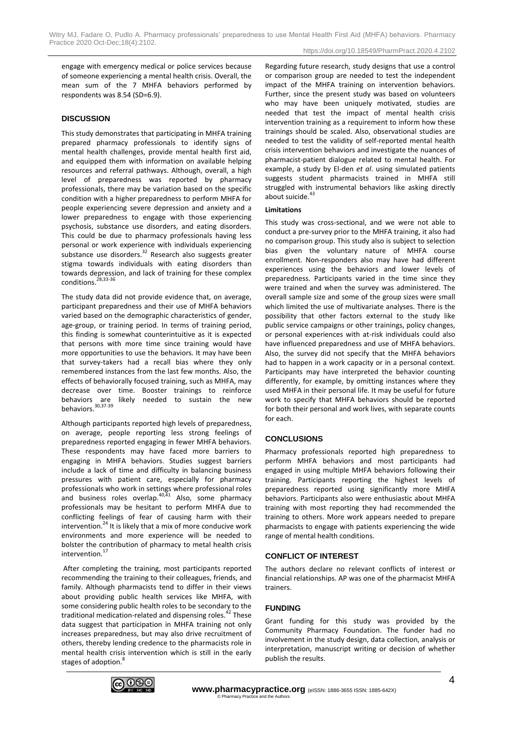engage with emergency medical or police services because of someone experiencing a mental health crisis. Overall, the mean sum of the 7 MHFA behaviors performed by respondents was 8.54 (SD=6.9).

#### **DISCUSSION**

This study demonstrates that participating in MHFA training prepared pharmacy professionals to identify signs of mental health challenges, provide mental health first aid, and equipped them with information on available helping resources and referral pathways. Although, overall, a high level of preparedness was reported by pharmacy professionals, there may be variation based on the specific condition with a higher preparedness to perform MHFA for people experiencing severe depression and anxiety and a lower preparedness to engage with those experiencing psychosis, substance use disorders, and eating disorders. This could be due to pharmacy professionals having less personal or work experience with individuals experiencing substance use disorders.<sup>32</sup> Research also suggests greater stigma towards individuals with eating disorders than towards depression, and lack of training for these complex  $conditions.<sup>28,33-36</sup>$ 

The study data did not provide evidence that, on average, participant preparedness and their use of MHFA behaviors varied based on the demographic characteristics of gender, age-group, or training period. In terms of training period, this finding is somewhat counterintuitive as it is expected that persons with more time since training would have more opportunities to use the behaviors. It may have been that survey-takers had a recall bias where they only remembered instances from the last few months. Also, the effects of behaviorally focused training, such as MHFA, may decrease over time. Booster trainings to reinforce behaviors are likely needed to sustain the new behaviors.<sup>30,37-39</sup>

Although participants reported high levels of preparedness, on average, people reporting less strong feelings of preparedness reported engaging in fewer MHFA behaviors. These respondents may have faced more barriers to engaging in MHFA behaviors. Studies suggest barriers include a lack of time and difficulty in balancing business pressures with patient care, especially for pharmacy professionals who work in settings where professional roles and business roles overlap. $40,41$  Also, some pharmacy professionals may be hesitant to perform MHFA due to conflicting feelings of fear of causing harm with their intervention. $^{24}$  It is likely that a mix of more conducive work environments and more experience will be needed to bolster the contribution of pharmacy to metal health crisis intervention.<sup>17</sup>

After completing the training, most participants reported recommending the training to their colleagues, friends, and family. Although pharmacists tend to differ in their views about providing public health services like MHFA, with some considering public health roles to be secondary to the traditional medication-related and dispensing roles.<sup>42</sup> These data suggest that participation in MHFA training not only increases preparedness, but may also drive recruitment of others, thereby lending credence to the pharmacists role in mental health crisis intervention which is still in the early stages of adoption.

Regarding future research, study designs that use a control or comparison group are needed to test the independent impact of the MHFA training on intervention behaviors. Further, since the present study was based on volunteers who may have been uniquely motivated, studies are needed that test the impact of mental health crisis intervention training as a requirement to inform how these trainings should be scaled. Also, observational studies are needed to test the validity of self-reported mental health crisis intervention behaviors and investigate the nuances of pharmacist-patient dialogue related to mental health. For example, a study by El-den *et al*. using simulated patients suggests student pharmacists trained in MHFA still struggled with instrumental behaviors like asking directly about suicide.<sup>43</sup>

#### **Limitations**

This study was cross-sectional, and we were not able to conduct a pre-survey prior to the MHFA training, it also had no comparison group. This study also is subject to selection bias given the voluntary nature of MHFA course enrollment. Non-responders also may have had different experiences using the behaviors and lower levels of preparedness. Participants varied in the time since they were trained and when the survey was administered. The overall sample size and some of the group sizes were small which limited the use of multivariate analyses. There is the possibility that other factors external to the study like public service campaigns or other trainings, policy changes, or personal experiences with at-risk individuals could also have influenced preparedness and use of MHFA behaviors. Also, the survey did not specify that the MHFA behaviors had to happen in a work capacity or in a personal context. Participants may have interpreted the behavior counting differently, for example, by omitting instances where they used MHFA in their personal life. It may be useful for future work to specify that MHFA behaviors should be reported for both their personal and work lives, with separate counts for each.

#### **CONCLUSIONS**

Pharmacy professionals reported high preparedness to perform MHFA behaviors and most participants had engaged in using multiple MHFA behaviors following their training. Participants reporting the highest levels of preparedness reported using significantly more MHFA behaviors. Participants also were enthusiastic about MHFA training with most reporting they had recommended the training to others. More work appears needed to prepare pharmacists to engage with patients experiencing the wide range of mental health conditions.

#### **CONFLICT OF INTEREST**

The authors declare no relevant conflicts of interest or financial relationships. AP was one of the pharmacist MHFA trainers.

### **FUNDING**

Grant funding for this study was provided by the Community Pharmacy Foundation. The funder had no involvement in the study design, data collection, analysis or interpretation, manuscript writing or decision of whether publish the results.

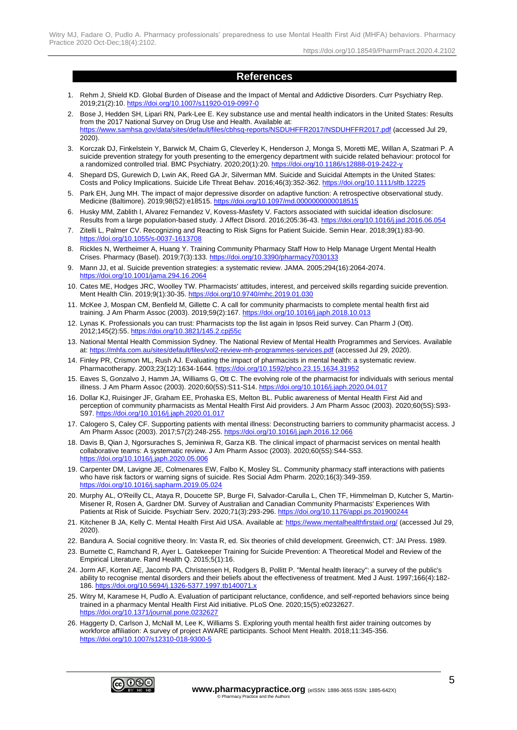https://doi.org/10.18549/PharmPract.2020.4.2102

## **References**

- 1. Rehm J, Shield KD. Global Burden of Disease and the Impact of Mental and Addictive Disorders. Curr Psychiatry Rep. 2019;21(2):10[. https://doi.org/10.1007/s11920-019-0997-0](https://doi.org/10.1007/s11920-019-0997-0)
- 2. Bose J, Hedden SH, Lipari RN, Park-Lee E. Key substance use and mental health indicators in the United States: Results from the 2017 National Survey on Drug Use and Health. Available at: <https://www.samhsa.gov/data/sites/default/files/cbhsq-reports/NSDUHFFR2017/NSDUHFFR2017.pdf> (accessed Jul 29, 2020).
- 3. Korczak DJ, Finkelstein Y, Barwick M, Chaim G, Cleverley K, Henderson J, Monga S, Moretti ME, Willan A, Szatmari P. A suicide prevention strategy for youth presenting to the emergency department with suicide related behaviour: protocol for a randomized controlled trial. BMC Psychiatry. 2020;20(1):20[. https://doi.org/10.1186/s12888-019-2422-y](https://doi.org/10.1186/s12888-019-2422-y)
- 4. Shepard DS, Gurewich D, Lwin AK, Reed GA Jr, Silverman MM. Suicide and Suicidal Attempts in the United States: Costs and Policy Implications. Suicide Life Threat Behav. 2016;46(3):352-362[. https://doi.org/10.1111/sltb.12225](https://doi.org/10.1111/sltb.12225)
- 5. Park EH, Jung MH. The impact of major depressive disorder on adaptive function: A retrospective observational study. Medicine (Baltimore). 2019;98(52):e18515[. https://doi.org/10.1097/md.0000000000018515](https://doi.org/10.1097/md.0000000000018515)
- 6. Husky MM, Zablith I, Alvarez Fernandez V, Kovess-Masfety V. Factors associated with suicidal ideation disclosure: Results from a large population-based study. J Affect Disord. 2016;205:36-43.<https://doi.org/10.1016/j.jad.2016.06.054>
- 7. Zitelli L, Palmer CV. Recognizing and Reacting to Risk Signs for Patient Suicide. Semin Hear. 2018;39(1):83-90. <https://doi.org/10.1055/s-0037-1613708>
- 8. Rickles N, Wertheimer A, Huang Y. Training Community Pharmacy Staff How to Help Manage Urgent Mental Health Crises. Pharmacy (Basel). 2019;7(3):133[. https://doi.org/10.3390/pharmacy7030133](https://doi.org/10.3390/pharmacy7030133)
- 9. Mann JJ, et al. Suicide prevention strategies: a systematic review. JAMA. 2005;294(16):2064-2074. <https://doi.org/10.1001/jama.294.16.2064>
- 10. Cates ME, Hodges JRC, Woolley TW. Pharmacists' attitudes, interest, and perceived skills regarding suicide prevention. Ment Health Clin. 2019;9(1):30-35.<https://doi.org/10.9740/mhc.2019.01.030>
- 11. McKee J, Mospan CM, Benfield M, Gillette C. A call for community pharmacists to complete mental health first aid training. J Am Pharm Assoc (2003). 2019;59(2):167[. https://doi.org/10.1016/j.japh.2018.10.013](https://doi.org/10.1016/j.japh.2018.10.013)
- 12. Lynas K. Professionals you can trust: Pharmacists top the list again in Ipsos Reid survey. Can Pharm J (Ott). 2012;145(2):55.<https://doi.org/10.3821/145.2.cpj55c>
- 13. National Mental Health Commission Sydney. The National Review of Mental Health Programmes and Services. Available at[: https://mhfa.com.au/sites/default/files/vol2-review-mh-programmes-services.pdf](https://mhfa.com.au/sites/default/files/vol2-review-mh-programmes-services.pdf) (accessed Jul 29, 2020).
- 14. Finley PR, Crismon ML, Rush AJ. Evaluating the impact of pharmacists in mental health: a systematic review. Pharmacotherapy. 2003;23(12):1634-1644. https://doi.org/10.1592/phco.23.15.1634.3195
- 15. Eaves S, Gonzalvo J, Hamm JA, Williams G, Ott C. The evolving role of the pharmacist for individuals with serious mental illness. J Am Pharm Assoc (2003). 2020;60(5S):S11-S14[. https://doi.org/10.1016/j.japh.2020.04.017](https://doi.org/10.1016/j.japh.2020.04.017)
- 16. Dollar KJ, Ruisinger JF, Graham EE, Prohaska ES, Melton BL. Public awareness of Mental Health First Aid and perception of community pharmacists as Mental Health First Aid providers. J Am Pharm Assoc (2003). 2020;60(5S):S93- S97.<https://doi.org/10.1016/j.japh.2020.01.017>
- 17. Calogero S, Caley CF. Supporting patients with mental illness: Deconstructing barriers to community pharmacist access. J Am Pharm Assoc (2003). 2017;57(2):248-255[. https://doi.org/10.1016/j.japh.2016.12.066](https://doi.org/10.1016/j.japh.2016.12.066)
- 18. Davis B, Qian J, Ngorsuraches S, Jeminiwa R, Garza KB. The clinical impact of pharmacist services on mental health collaborative teams: A systematic review. J Am Pharm Assoc (2003). 2020;60(5S):S44-S53. <https://doi.org/10.1016/j.japh.2020.05.006>
- 19. Carpenter DM, Lavigne JE, Colmenares EW, Falbo K, Mosley SL. Community pharmacy staff interactions with patients who have risk factors or warning signs of suicide. Res Social Adm Pharm. 2020;16(3):349-359. <https://doi.org/10.1016/j.sapharm.2019.05.024>
- 20. Murphy AL, O'Reilly CL, Ataya R, Doucette SP, Burge FI, Salvador-Carulla L, Chen TF, Himmelman D, Kutcher S, Martin-Misener R, Rosen A, Gardner DM. Survey of Australian and Canadian Community Pharmacists' Experiences With Patients at Risk of Suicide. Psychiatr Serv. 2020;71(3):293-296.<https://doi.org/10.1176/appi.ps.201900244>
- 21. Kitchener B JA, Kelly C. Mental Health First Aid USA. Available at:<https://www.mentalhealthfirstaid.org/> (accessed Jul 29, 2020).
- 22. Bandura A. Social cognitive theory. In: Vasta R, ed. Six theories of child development. Greenwich, CT: JAI Press. 1989.
- 23. Burnette C, Ramchand R, Ayer L. Gatekeeper Training for Suicide Prevention: A Theoretical Model and Review of the Empirical Literature. Rand Health Q. 2015;5(1):16.
- 24. Jorm AF, Korten AE, Jacomb PA, Christensen H, Rodgers B, Pollitt P. "Mental health literacy": a survey of the public's ability to recognise mental disorders and their beliefs about the effectiveness of treatment. Med J Aust. 1997;166(4):182- 186. <https://doi.org/10.5694/j.1326-5377.1997.tb140071.x>
- 25. Witry M, Karamese H, Pudlo A. Evaluation of participant reluctance, confidence, and self-reported behaviors since being trained in a pharmacy Mental Health First Aid initiative. PLoS One. 2020;15(5):e0232627. https://doi.org/10.1371/journal.pone.02326
- 26. Haggerty D, Carlson J, McNall M, Lee K, Williams S. Exploring youth mental health first aider training outcomes by workforce affiliation: A survey of project AWARE participants. School Ment Health. 2018;11:345-356. <https://doi.org/10.1007/s12310-018-9300-5>